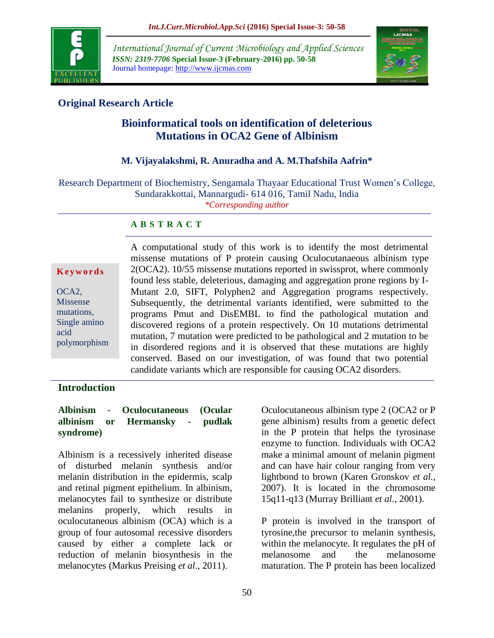

*International Journal of Current Microbiology and Applied Sciences ISSN: 2319-7706* **Special Issue-3 (February-2016) pp. 50-58** Journal homepage: http://www.ijcmas.com



# **Original Research Article**

# **Bioinformatical tools on identification of deleterious Mutations in OCA2 Gene of Albinism**

## **M. Vijayalakshmi, R. Anuradha and A. M.Thafshila Aafrin\***

Research Department of Biochemistry, Sengamala Thayaar Educational Trust Women's College, Sundarakkottai, Mannargudi- 614 016, Tamil Nadu, India *\*Corresponding author*

## **A B S T R A C T**

#### **K e y w o r d s**

OCA2, Missense mutations, Single amino acid polymorphism A computational study of this work is to identify the most detrimental missense mutations of P protein causing Oculocutanaeous albinism type 2(OCA2). 10/55 missense mutations reported in swissprot, where commonly found less stable, deleterious, damaging and aggregation prone regions by I-Mutant 2.0, SIFT, Polyphen2 and Aggregation programs respectively. Subsequently, the detrimental variants identified, were submitted to the programs Pmut and DisEMBL to find the pathological mutation and discovered regions of a protein respectively. On 10 mutations detrimental mutation, 7 mutation were predicted to be pathological and 2 mutation to be in disordered regions and it is observed that these mutations are highly conserved. Based on our investigation, of was found that two potential candidate variants which are responsible for causing OCA2 disorders.

## **Introduction**

#### **Albinism - Oculocutaneous (Ocular albinism or Hermansky - pudlak syndrome)**

Albinism is a recessively inherited disease of disturbed melanin synthesis and/or melanin distribution in the epidermis, scalp and retinal pigment epithelium. In albinism, melanocytes fail to synthesize or distribute melanins properly, which results in oculocutaneous albinism (OCA) which is a group of four autosomal recessive disorders caused by either a complete lack or reduction of melanin biosynthesis in the melanocytes (Markus Preising *et al*., 2011).

Oculocutaneous albinism type 2 (OCA2 or P gene albinism) results from a genetic defect in the P protein that helps the tyrosinase enzyme to function. Individuals with OCA2 make a minimal amount of melanin pigment and can have hair colour ranging from very lightbond to brown (Karen Gronskov *et al.,* 2007). It is located in the chromosome 15q11-q13 (Murray Brilliant *et al.,* 2001).

P protein is involved in the transport of tyrosine,the precursor to melanin synthesis, within the melanocyte. It regulates the pH of melanosome and the melanosome maturation. The P protein has been localized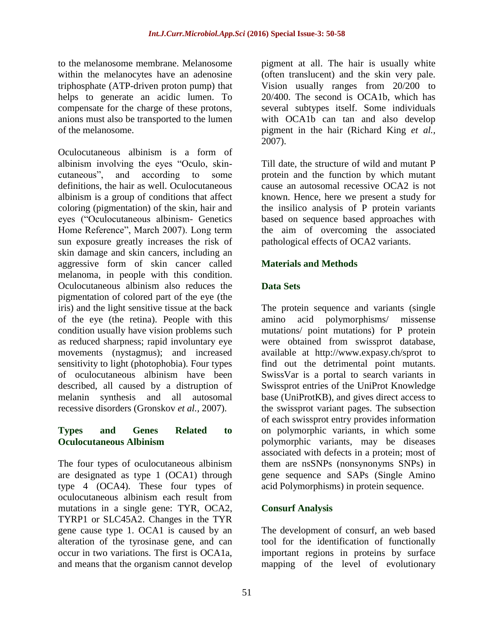to the melanosome membrane. Melanosome within the melanocytes have an adenosine triphosphate (ATP-driven proton pump) that helps to generate an acidic lumen. To compensate for the charge of these protons, anions must also be transported to the lumen of the melanosome.

Oculocutaneous albinism is a form of albinism involving the eyes "Oculo, skincutaneous", and according to some definitions, the hair as well. Oculocutaneous albinism is a group of conditions that affect coloring (pigmentation) of the skin, hair and eyes ("Oculocutaneous albinism- Genetics Home Reference", March 2007). Long term sun exposure greatly increases the risk of skin damage and skin cancers, including an aggressive form of skin cancer called melanoma, in people with this condition. Oculocutaneous albinism also reduces the pigmentation of colored part of the eye (the iris) and the light sensitive tissue at the back of the eye (the retina). People with this condition usually have vision problems such as reduced sharpness; rapid involuntary eye movements (nystagmus); and increased sensitivity to light (photophobia). Four types of oculocutaneous albinism have been described, all caused by a distruption of melanin synthesis and all autosomal recessive disorders (Gronskov *et al.,* 2007).

### **Types and Genes Related to Oculocutaneous Albinism**

The four types of oculocutaneous albinism are designated as type 1 (OCA1) through type 4 (OCA4). These four types of oculocutaneous albinism each result from mutations in a single gene: TYR, OCA2, TYRP1 or SLC45A2. Changes in the TYR gene cause type 1. OCA1 is caused by an alteration of the tyrosinase gene, and can occur in two variations. The first is OCA1a, and means that the organism cannot develop

pigment at all. The hair is usually white (often translucent) and the skin very pale. Vision usually ranges from 20/200 to 20/400. The second is OCA1b, which has several subtypes itself. Some individuals with OCA1b can tan and also develop pigment in the hair (Richard King *et al.,* 2007).

Till date, the structure of wild and mutant P protein and the function by which mutant cause an autosomal recessive OCA2 is not known. Hence, here we present a study for the insilico analysis of P protein variants based on sequence based approaches with the aim of overcoming the associated pathological effects of OCA2 variants.

## **Materials and Methods**

## **Data Sets**

The protein sequence and variants (single amino acid polymorphisms/ missense mutations/ point mutations) for P protein were obtained from swissprot database, available at <http://www.expasy.ch/sprot> to find out the detrimental point mutants. SwissVar is a portal to search variants in Swissprot entries of the UniProt Knowledge base (UniProtKB), and gives direct access to the swissprot variant pages. The subsection of each swissprot entry provides information on polymorphic variants, in which some polymorphic variants, may be diseases associated with defects in a protein; most of them are nsSNPs (nonsynonyms SNPs) in gene sequence and SAPs (Single Amino acid Polymorphisms) in protein sequence.

## **Consurf Analysis**

The development of consurf, an web based tool for the identification of functionally important regions in proteins by surface mapping of the level of evolutionary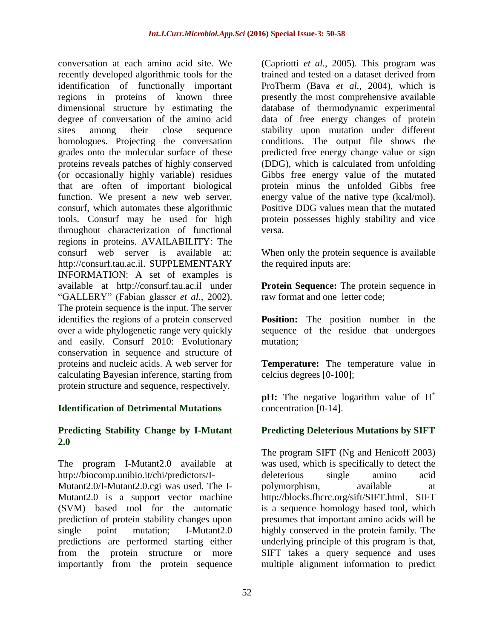conversation at each amino acid site. We recently developed algorithmic tools for the identification of functionally important regions in proteins of known three dimensional structure by estimating the degree of conversation of the amino acid sites among their close sequence homologues. Projecting the conversation grades onto the molecular surface of these proteins reveals patches of highly conserved (or occasionally highly variable) residues that are often of important biological function. We present a new web server, consurf, which automates these algorithmic tools. Consurf may be used for high throughout characterization of functional regions in proteins. AVAILABILITY: The consurf web server is available at: [http://consurf.tau.ac.il.](http://consurf.tau.ac.il/) SUPPLEMENTARY INFORMATION: A set of examples is available at [http://consurf.tau.ac.il](http://consurf.tau.ac.il/) under "GALLERY" (Fabian glasser *et al.,* 2002). The protein sequence is the input. The server identifies the regions of a protein conserved over a wide phylogenetic range very quickly and easily. Consurf 2010: Evolutionary conservation in sequence and structure of proteins and nucleic acids. A web server for calculating Bayesian inference, starting from protein structure and sequence, respectively.

## **Identification of Detrimental Mutations**

### **Predicting Stability Change by I-Mutant 2.0**

The program I-Mutant2.0 available at [http://biocomp.unibio.it/chi/predictors/I-](http://biocomp.unibio.it/chi/predictors/I-Mutant2.0/I-Mutant2.0.cgi)

[Mutant2.0/I-Mutant2.0.cgi](http://biocomp.unibio.it/chi/predictors/I-Mutant2.0/I-Mutant2.0.cgi) was used. The I-Mutant2.0 is a support vector machine (SVM) based tool for the automatic prediction of protein stability changes upon single point mutation; I-Mutant2.0 predictions are performed starting either from the protein structure or more importantly from the protein sequence

(Capriotti *et al.,* 2005). This program was trained and tested on a dataset derived from ProTherm (Bava *et al.,* 2004), which is presently the most comprehensive available database of thermodynamic experimental data of free energy changes of protein stability upon mutation under different conditions. The output file shows the predicted free energy change value or sign (DDG), which is calculated from unfolding Gibbs free energy value of the mutated protein minus the unfolded Gibbs free energy value of the native type (kcal/mol). Positive DDG values mean that the mutated protein possesses highly stability and vice versa.

When only the protein sequence is available the required inputs are:

**Protein Sequence:** The protein sequence in raw format and one letter code;

**Position:** The position number in the sequence of the residue that undergoes mutation;

**Temperature:** The temperature value in celcius degrees [0-100];

**pH:** The negative logarithm value of  $H^+$ concentration [0-14].

## **Predicting Deleterious Mutations by SIFT**

The program SIFT (Ng and Henicoff 2003) was used, which is specifically to detect the deleterious single amino acid polymorphism, available at [http://blocks.fhcrc.org/sift/SIFT.html.](http://blocks.fhcrc.org/sift/SIFT.html) SIFT is a sequence homology based tool, which presumes that important amino acids will be highly conserved in the protein family. The underlying principle of this program is that, SIFT takes a query sequence and uses multiple alignment information to predict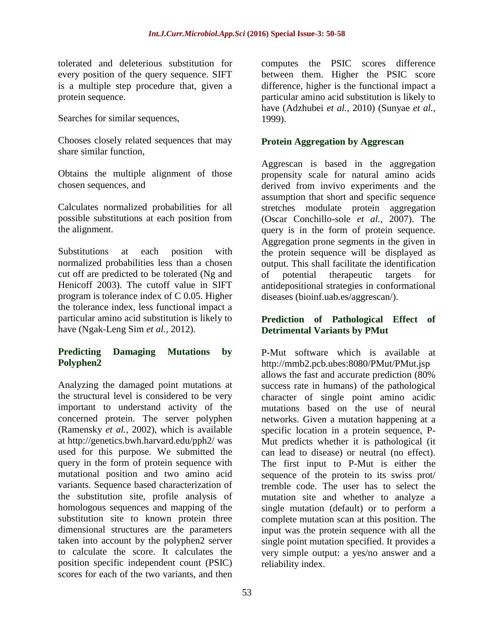tolerated and deleterious substitution for every position of the query sequence. SIFT is a multiple step procedure that, given a protein sequence.

Searches for similar sequences,

Chooses closely related sequences that may share similar function,

Obtains the multiple alignment of those chosen sequences, and

Calculates normalized probabilities for all possible substitutions at each position from the alignment.

Substitutions at each position with normalized probabilities less than a chosen cut off are predicted to be tolerated (Ng and Henicoff 2003). The cutoff value in SIFT program is tolerance index of C 0.05. Higher the tolerance index, less functional impact a particular amino acid substitution is likely to have (Ngak-Leng Sim *et al.,* 2012).

## **Predicting Damaging Mutations by Polyphen2**

Analyzing the damaged point mutations at the structural level is considered to be very important to understand activity of the concerned protein. The server polyphen (Ramensky *et al.,* 2002), which is available at<http://genetics.bwh.harvard.edu/pph2/> was used for this purpose. We submitted the query in the form of protein sequence with mutational position and two amino acid variants. Sequence based characterization of the substitution site, profile analysis of homologous sequences and mapping of the substitution site to known protein three dimensional structures are the parameters taken into account by the polyphen2 server to calculate the score. It calculates the position specific independent count (PSIC) scores for each of the two variants, and then

computes the PSIC scores difference between them. Higher the PSIC score difference, higher is the functional impact a particular amino acid substitution is likely to have (Adzhubei *et al.,* 2010) (Sunyae *et al.,* 1999).

## **Protein Aggregation by Aggrescan**

Aggrescan is based in the aggregation propensity scale for natural amino acids derived from invivo experiments and the assumption that short and specific sequence stretches modulate protein aggregation (Oscar Conchillo-sole *et al.,* 2007). The query is in the form of protein sequence. Aggregation prone segments in the given in the protein sequence will be displayed as output. This shall facilitate the identification of potential therapeutic targets for antidepositional strategies in conformational diseases (bioinf.uab.es/aggrescan/).

## **Prediction of Pathological Effect of Detrimental Variants by PMut**

P-Mut software which is available at <http://mmb2.pcb.ubes:8080/PMut/PMut.jsp> allows the fast and accurate prediction (80% success rate in humans) of the pathological character of single point amino acidic mutations based on the use of neural networks. Given a mutation happening at a specific location in a protein sequence, P-Mut predicts whether it is pathological (it can lead to disease) or neutral (no effect). The first input to P-Mut is either the sequence of the protein to its swiss prot/ tremble code. The user has to select the mutation site and whether to analyze a single mutation (default) or to perform a complete mutation scan at this position. The input was the protein sequence with all the single point mutation specified. It provides a very simple output: a yes/no answer and a reliability index.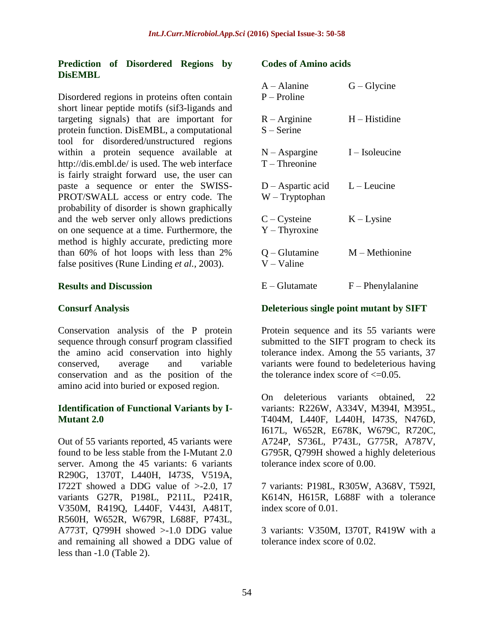### **Prediction of Disordered Regions by DisEMBL**

Disordered regions in proteins often contain short linear peptide motifs (sif3-ligands and targeting signals) that are important for protein function. DisEMBL, a computational tool for disordered/unstructured regions within a protein sequence available at <http://dis.embl.de/> is used. The web interface is fairly straight forward use, the user can paste a sequence or enter the SWISS-PROT/SWALL access or entry code. The probability of disorder is shown graphically and the web server only allows predictions on one sequence at a time. Furthermore, the method is highly accurate, predicting more than 60% of hot loops with less than 2% false positives (Rune Linding *et al.,* 2003).

#### **Results and Discussion**

#### **Consurf Analysis**

Conservation analysis of the P protein sequence through consurf program classified the amino acid conservation into highly conserved, average and variable conservation and as the position of the amino acid into buried or exposed region.

#### **Identification of Functional Variants by I-Mutant 2.0**

Out of 55 variants reported, 45 variants were found to be less stable from the I-Mutant 2.0 server. Among the 45 variants: 6 variants R290G, 1370T, L440H, I473S, V519A, I722T showed a DDG value of >-2.0, 17 variants G27R, P198L, P211L, P241R, V350M, R419Q, L440F, V443I, A481T, R560H, W652R, W679R, L688F, P743L, A773T, Q799H showed >-1.0 DDG value and remaining all showed a DDG value of less than -1.0 (Table 2).

#### **Codes of Amino acids**

| $A - A$ lanine<br>$P-$ Proline        | $G - Glycine$       |
|---------------------------------------|---------------------|
| $R - Arginine$<br>$S -$ Serine        | $H - H$ istidine    |
| $N - As^{p$<br>$T$ – Threonine        | $I - Isoleucine$    |
| $D -$ Aspartic acid<br>$W-Tryptophan$ | $L$ – Leucine       |
| $C - C$ ysteine<br>$Y$ – Thyroxine    | $K-Lysine$          |
| $Q - Glutamine$<br>$V - Value$        | $M$ – Methionine    |
| $E - Glutamate$                       | $F$ – Phenylalanine |

#### **Deleterious single point mutant by SIFT**

Protein sequence and its 55 variants were submitted to the SIFT program to check its tolerance index. Among the 55 variants, 37 variants were found to bedeleterious having the tolerance index score of  $\leq 0.05$ .

On deleterious variants obtained, 22 variants: R226W, A334V, M394I, M395L, T404M, L440F, L440H, I473S, N476D, I617L, W652R, E678K, W679C, R720C, A724P, S736L, P743L, G775R, A787V, G795R, Q799H showed a highly deleterious tolerance index score of 0.00.

7 variants: P198L, R305W, A368V, T592I, K614N, H615R, L688F with a tolerance index score of 0.01.

3 variants: V350M, I370T, R419W with a tolerance index score of 0.02.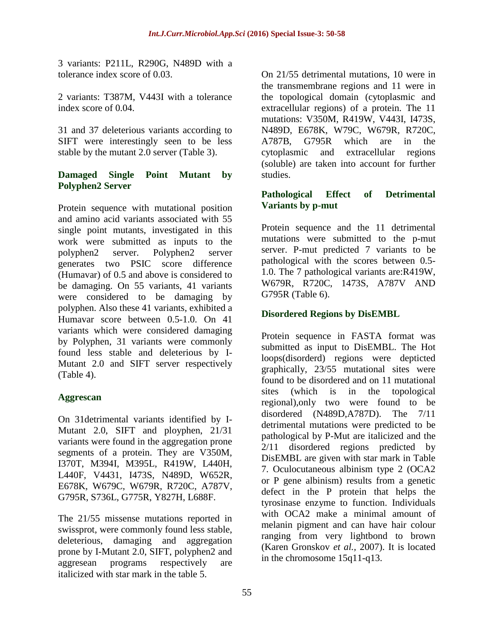3 variants: P211L, R290G, N489D with a tolerance index score of 0.03.

2 variants: T387M, V443I with a tolerance index score of 0.04.

31 and 37 deleterious variants according to SIFT were interestingly seen to be less stable by the mutant 2.0 server (Table 3).

## **Damaged Single Point Mutant by Polyphen2 Server**

Protein sequence with mutational position and amino acid variants associated with 55 single point mutants, investigated in this work were submitted as inputs to the polyphen2 server. Polyphen2 server generates two PSIC score difference (Humavar) of 0.5 and above is considered to be damaging. On 55 variants, 41 variants were considered to be damaging by polyphen. Also these 41 variants, exhibited a Humavar score between 0.5-1.0. On 41 variants which were considered damaging by Polyphen, 31 variants were commonly found less stable and deleterious by I-Mutant 2.0 and SIFT server respectively (Table 4).

## **Aggrescan**

On 31detrimental variants identified by I-Mutant 2.0, SIFT and ployphen, 21/31 variants were found in the aggregation prone segments of a protein. They are V350M, I370T, M394I, M395L, R419W, L440H, L440F, V4431, I473S, N489D, W652R, E678K, W679C, W679R, R720C, A787V, G795R, S736L, G775R, Y827H, L688F.

The 21/55 missense mutations reported in swissprot, were commonly found less stable, deleterious, damaging and aggregation prone by I-Mutant 2.0, SIFT, polyphen2 and aggresean programs respectively are italicized with star mark in the table 5.

On 21/55 detrimental mutations, 10 were in the transmembrane regions and 11 were in the topological domain (cytoplasmic and extracellular regions) of a protein. The 11 mutations: V350M, R419W, V443I, I473S, N489D, E678K, W79C, W679R, R720C, A787B, G795R which are in the cytoplasmic and extracellular regions (soluble) are taken into account for further studies.

## **Pathological Effect of Detrimental Variants by p-mut**

Protein sequence and the 11 detrimental mutations were submitted to the p-mut server. P-mut predicted 7 variants to be pathological with the scores between 0.5- 1.0. The 7 pathological variants are:R419W, W679R, R720C, 1473S, A787V AND G795R (Table 6).

## **Disordered Regions by DisEMBL**

Protein sequence in FASTA format was submitted as input to DisEMBL. The Hot loops(disorderd) regions were depticted graphically, 23/55 mutational sites were found to be disordered and on 11 mutational sites (which is in the topological regional),only two were found to be disordered (N489D,A787D). The 7/11 detrimental mutations were predicted to be pathological by P-Mut are italicized and the 2/11 disordered regions predicted by DisEMBL are given with star mark in Table 7. Oculocutaneous albinism type 2 (OCA2 or P gene albinism) results from a genetic defect in the P protein that helps the tyrosinase enzyme to function. Individuals with OCA2 make a minimal amount of melanin pigment and can have hair colour ranging from very lightbond to brown (Karen Gronskov *et al.,* 2007). It is located in the chromosome 15q11-q13.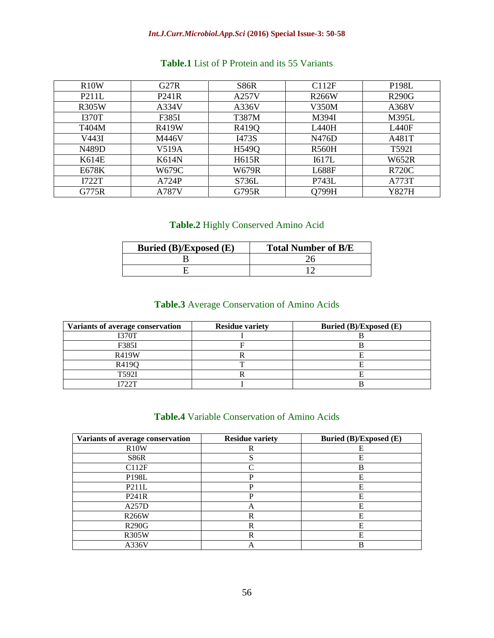#### *Int.J.Curr.Microbiol.App.Sci* **(2016) Special Issue-3: 50-58**

| R10W         | G27R         | <b>S86R</b> | C112F        | <b>P198L</b> |
|--------------|--------------|-------------|--------------|--------------|
| <b>P211L</b> | P241R        | A257V       | <b>R266W</b> | <b>R290G</b> |
| <b>R305W</b> | A334V        | A336V       | V350M        | A368V        |
| <b>I370T</b> | F385I        | T387M       | M394I        | M395L        |
| T404M        | <b>R419W</b> | R419Q       | L440H        | L440F        |
| V443I        | M446V        | I473S       | N476D        | A481T        |
| N489D        | V519A        | H549Q       | <b>R560H</b> | T592I        |
| K614E        | <b>K614N</b> | H615R       | I617L        | <b>W652R</b> |
| E678K        | W679C        | W679R       | <b>L688F</b> | <b>R720C</b> |
| I722T        | A724P        | S736L       | P743L        | A773T        |
| G775R        | A787V        | G795R       | Q799H        | Y827H        |

## **Table.1** List of P Protein and its 55 Variants

## **Table.2** Highly Conserved Amino Acid

| Buried (B)/Exposed (E) | <b>Total Number of B/E</b> |
|------------------------|----------------------------|
|                        |                            |
|                        |                            |

# **Table.3** Average Conservation of Amino Acids

| Variants of average conservation | <b>Residue variety</b> | Buried (B)/Exposed (E) |
|----------------------------------|------------------------|------------------------|
| I370T                            |                        |                        |
| F385I                            |                        |                        |
| <b>R419W</b>                     |                        |                        |
| R419O                            |                        |                        |
| T592I                            |                        |                        |
| フククエ                             |                        |                        |

### **Table.4** Variable Conservation of Amino Acids

| Variants of average conservation | <b>Residue variety</b> | Buried (B)/Exposed (E) |
|----------------------------------|------------------------|------------------------|
| R10W                             | R                      | Е                      |
| S86R                             |                        | E                      |
| C112F                            | $\Gamma$               | B                      |
| P198L                            | P                      | Е                      |
| P211L                            | P                      | Е                      |
| P241R                            | D                      | Е                      |
| A257D                            | А                      | E                      |
| <b>R266W</b>                     | R                      | E                      |
| <b>R290G</b>                     | R                      | Е                      |
| <b>R305W</b>                     | R                      | E                      |
| A336V                            | А                      | R                      |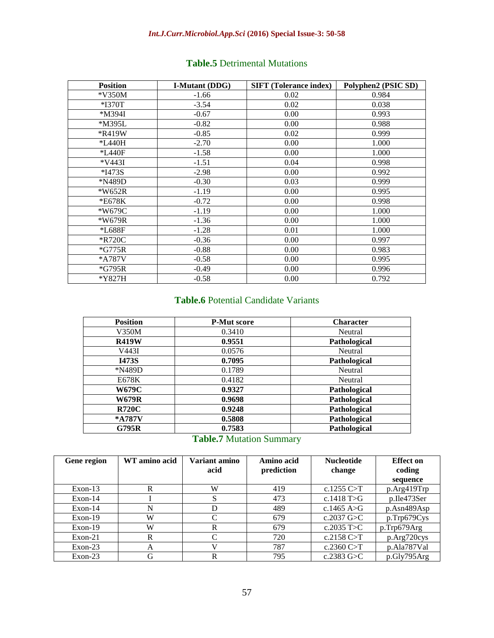## *Int.J.Curr.Microbiol.App.Sci* **(2016) Special Issue-3: 50-58**

| <b>Position</b> | <b>I-Mutant (DDG)</b> | <b>SIFT (Tolerance index)</b> | Polyphen2 (PSIC SD) |
|-----------------|-----------------------|-------------------------------|---------------------|
| $*V350M$        | $-1.66$               | 0.02                          | 0.984               |
| *I370T          | $-3.54$               | 0.02                          | 0.038               |
| *M394I          | $-0.67$               | 0.00                          | 0.993               |
| *M395L          | $-0.82$               | 0.00                          | 0.988               |
| *R419W          | $-0.85$               | 0.02                          | 0.999               |
| *L440H          | $-2.70$               | 0.00                          | 1.000               |
| *L440F          | $-1.58$               | 0.00                          | 1.000               |
| $*V443I$        | $-1.51$               | 0.04                          | 0.998               |
| *I473S          | $-2.98$               | 0.00                          | 0.992               |
| *N489D          | $-0.30$               | 0.03                          | 0.999               |
| *W652R          | $-1.19$               | 0.00                          | 0.995               |
| *E678K          | $-0.72$               | 0.00                          | 0.998               |
| *W679C          | $-1.19$               | 0.00                          | 1.000               |
| *W679R          | $-1.36$               | 0.00                          | 1.000               |
| *L688F          | $-1.28$               | 0.01                          | 1.000               |
| *R720C          | $-0.36$               | 0.00                          | 0.997               |
| $*G775R$        | $-0.88$               | 0.00                          | 0.983               |
| *A787V          | $-0.58$               | 0.00                          | 0.995               |
| $*G795R$        | $-0.49$               | 0.00                          | 0.996               |
| *Y827H          | $-0.58$               | 0.00                          | 0.792               |

## **Table.5** Detrimental Mutations

# **Table.6** Potential Candidate Variants

| <b>Position</b> | <b>P-Mut score</b> | <b>Character</b> |
|-----------------|--------------------|------------------|
| V350M           | 0.3410             | Neutral          |
| <b>R419W</b>    | 0.9551             | Pathological     |
| V443I           | 0.0576             | Neutral          |
| <b>I473S</b>    | 0.7095             | Pathological     |
| *N489D          | 0.1789             | Neutral          |
| E678K           | 0.4182             | Neutral          |
| <b>W679C</b>    | 0.9327             | Pathological     |
| <b>W679R</b>    | 0.9698             | Pathological     |
| <b>R720C</b>    | 0.9248             | Pathological     |
| *A787V          | 0.5808             | Pathological     |
| <b>G795R</b>    | 0.7583             | Pathological     |

# **Table.7** Mutation Summary

| <b>Gene region</b> | WT amino acid | Variant amino | Amino acid | <b>Nucleotide</b> | <b>Effect</b> on |
|--------------------|---------------|---------------|------------|-------------------|------------------|
|                    |               | acid          | prediction | change            | coding           |
|                    |               |               |            |                   | sequence         |
| $Exon-13$          | R             | W             | 419        | c.1255 $C > T$    | p.Arg419Trp      |
| $Exon-14$          |               | S             | 473        | c.1418 $T>G$      | p.Ile473Ser      |
| $Exon-14$          | N             | D             | 489        | c.1465 A>G        | p.Asn489Asp      |
| $Exon-19$          | W             | ⌒             | 679        | c.2037 $G>C$      | p.Trp679Cys      |
| $Exon-19$          | W             | R             | 679        | c.2035 $T>C$      | p.Trp679Arg      |
| $Exon-21$          | R             | C             | 720        | c.2158 $C > T$    | p.Arg720cys      |
| $Exon-23$          | A             |               | 787        | c.2360 $C > T$    | p.Ala787Val      |
| $Exon-23$          | G             | R             | 795        | c.2383 $G>C$      | p.Gly795Arg      |